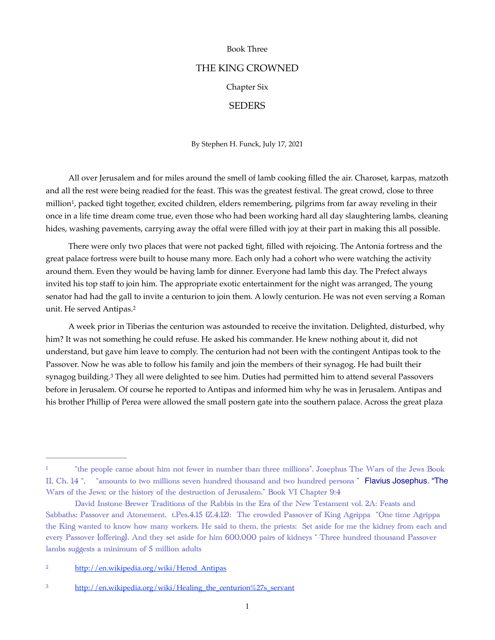## Book Three

# THE KING CROWNED

# Chapter Six

# **SEDERS**

By Stephen H. Funck, July 17, 2021

<span id="page-0-3"></span>All over Jerusalem and for miles around the smell of lamb cooking filled the air. Charoset, karpas, matzoth and all the rest were being readied for the feast. This was the greatest festival. The great crowd, close to three million<sup>1</sup>[,](#page-0-0) packed tight together, excited children, elders remembering, pilgrims from far away reveling in their once in a life time dream come true, even those who had been working hard all day slaughtering lambs, cleaning hides, washing pavements, carrying away the offal were filled with joy at their part in making this all possible.

There were only two places that were not packed tight, filled with rejoicing. The Antonia fortress and the great palace fortress were built to house many more. Each only had a cohort who were watching the activity around them. Even they would be having lamb for dinner. Everyone had lamb this day. The Prefect always invited his top staff to join him. The appropriate exotic entertainment for the night was arranged, The young senator had had the gall to invite a centurion to join them. A lowly centurion. He was not even serving a Roman unit. He served Antipas[.2](#page-0-1)

<span id="page-0-5"></span><span id="page-0-4"></span>A week prior in Tiberias the centurion was astounded to receive the invitation. Delighted, disturbed, why him? It was not something he could refuse. He asked his commander. He knew nothing about it, did not understand, but gave him leave to comply. The centurion had not been with the contingent Antipas took to the Passover. Now he was able to follow his family and join the members of their synagog. He had built their synagog building.<sup>[3](#page-0-2)</sup> They all were delighted to see him. Duties had permitted him to attend several Passovers before in Jerusalem. Of course he reported to Antipas and informed him why he was in Jerusalem. Antipas and his brother Phillip of Perea were allowed the small postern gate into the southern palace. Across the great plaza

<span id="page-0-0"></span><sup>&</sup>lt;sup>[1](#page-0-3)</sup> "the people came about him not fewer in number than three millions". Josephus The Wars of the Jews Book II, Ch. 14 ", "amounts to two millions seven hundred thousand and two hundred persons " Flavius Josephus. "The Wars of the Jews; or the history of the destruction of Jerusalem." Book VI Chapter 9:4

David Instone-Brewer Traditions of the Rabbis in the Era of the New Testament vol. 2A: Feasts and Sabbaths: Passover and Atonement. t.Pes.4.15 (Z.4.12): The crowded Passover of King Agrippa "One time Agrippa the King wanted to know how many workers. He said to them, the priests: Set aside for me the kidney from each and every Passover [offering]. And they set aside for him 600,000 pairs of kidneys "-Three hundred thousand Passover lambs suggests a minimum of 5 million adults

<span id="page-0-1"></span><sup>&</sup>lt;sup>2</sup> [http://en.wikipedia.org/wiki/Herod\\_Antipas](http://en.wikipedia.org/wiki/Herod_Antipas)

<span id="page-0-2"></span><sup>&</sup>lt;sup>3</sup> [http://en.wikipedia.org/wiki/Healing\\_the\\_centurion%27s\\_servant](http://en.wikipedia.org/wiki/Healing_the_centurion%27s_servant)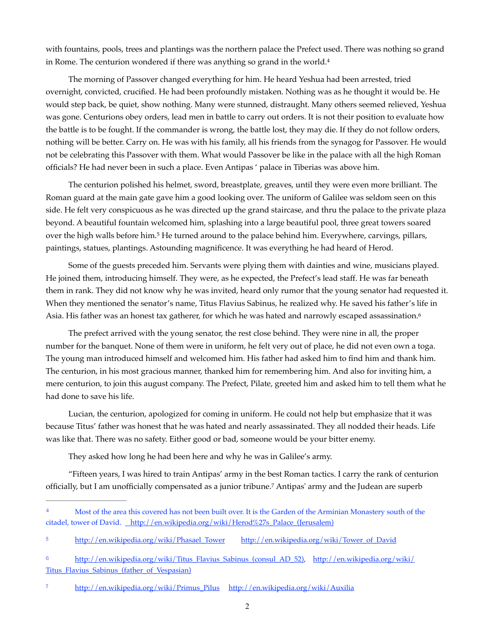<span id="page-1-4"></span>with fountains, pools, trees and plantings was the northern palace the Prefect used. There was nothing so grand in Rome. The centurion wondered if there was anything so grand in the world.[4](#page-1-0)

The morning of Passover changed everything for him. He heard Yeshua had been arrested, tried overnight, convicted, crucified. He had been profoundly mistaken. Nothing was as he thought it would be. He would step back, be quiet, show nothing. Many were stunned, distraught. Many others seemed relieved, Yeshua was gone. Centurions obey orders, lead men in battle to carry out orders. It is not their position to evaluate how the battle is to be fought. If the commander is wrong, the battle lost, they may die. If they do not follow orders, nothing will be better. Carry on. He was with his family, all his friends from the synagog for Passover. He would not be celebrating this Passover with them. What would Passover be like in the palace with all the high Roman officials? He had never been in such a place. Even Antipas ' palace in Tiberias was above him.

The centurion polished his helmet, sword, breastplate, greaves, until they were even more brilliant. The Roman guard at the main gate gave him a good looking over. The uniform of Galilee was seldom seen on this side. He felt very conspicuous as he was directed up the grand staircase, and thru the palace to the private plaza beyond. A beautiful fountain welcomed him, splashing into a large beautiful pool, three great towers soared over the high walls before him.<sup>5</sup> He turned around to the palace behind him[.](#page-1-1) Everywhere, carvings, pillars, paintings, statues, plantings. Astounding magnificence. It was everything he had heard of Herod.

<span id="page-1-5"></span>Some of the guests preceded him. Servants were plying them with dainties and wine, musicians played. He joined them, introducing himself. They were, as he expected, the Prefect's lead staff. He was far beneath them in rank. They did not know why he was invited, heard only rumor that the young senator had requested it. When they mentioned the senator's name, Titus Flavius Sabinus, he realized why. He saved his father's life in Asia. His father was an honest tax gatherer, for which he was hated and narrowly escaped assassination. [6](#page-1-2)

<span id="page-1-6"></span>The prefect arrived with the young senator, the rest close behind. They were nine in all, the proper number for the banquet. None of them were in uniform, he felt very out of place, he did not even own a toga. The young man introduced himself and welcomed him. His father had asked him to find him and thank him. The centurion, in his most gracious manner, thanked him for remembering him. And also for inviting him, a mere centurion, to join this august company. The Prefect, Pilate, greeted him and asked him to tell them what he had done to save his life.

Lucian, the centurion, apologized for coming in uniform. He could not help but emphasize that it was because Titus' father was honest that he was hated and nearly assassinated. They all nodded their heads. Life was like that. There was no safety. Either good or bad, someone would be your bitter enemy.

<span id="page-1-7"></span>They asked how long he had been here and why he was in Galilee's army.

"Fifteen years, I was hired to train Antipas' army in the best Roman tactics. I carry the rank of centurion officially, but I am unofficially compensated as a junior tribune.<sup>[7](#page-1-3)</sup> Antipas' army and the Judean are superb

<span id="page-1-0"></span><sup>&</sup>lt;sup>[4](#page-1-4)</sup> Most of the area this covered has not been built over. It is the Garden of the Arminian Monastery south of the citadel, tower of David. [http://en.wikipedia.org/wiki/Herod%27s\\_Palace\\_\(Jerusalem\)](http://en.wikipedia.org/wiki/Herod%27s_Palace_(Jerusalem))

<span id="page-1-1"></span>[<sup>5</sup>](#page-1-5) [http://en.wikipedia.org/wiki/Phasael\\_Tower](http://en.wikipedia.org/wiki/Phasael_Tower) [http://en.wikipedia.org/wiki/Tower\\_of\\_David](http://en.wikipedia.org/wiki/Tower_of_David)

<span id="page-1-2"></span>[<sup>6</sup>](#page-1-6) [http://en.wikipedia.org/wiki/Titus\\_Flavius\\_Sabinus\\_\(consul\\_AD\\_52\)](http://en.wikipedia.org/wiki/Titus_Flavius_Sabinus_(consul_AD_52)), [http://en.wikipedia.org/wiki/](http://en.wikipedia.org/wiki/Titus_Flavius_Sabinus_(father_of_Vespasian)) Titus Flavius Sabinus (father of Vespasian)

<span id="page-1-3"></span>[<sup>7</sup>](#page-1-7) [http://en.wikipedia.org/wiki/Primus\\_Pilus](http://en.wikipedia.org/wiki/Primus_Pilus) <http://en.wikipedia.org/wiki/Auxilia>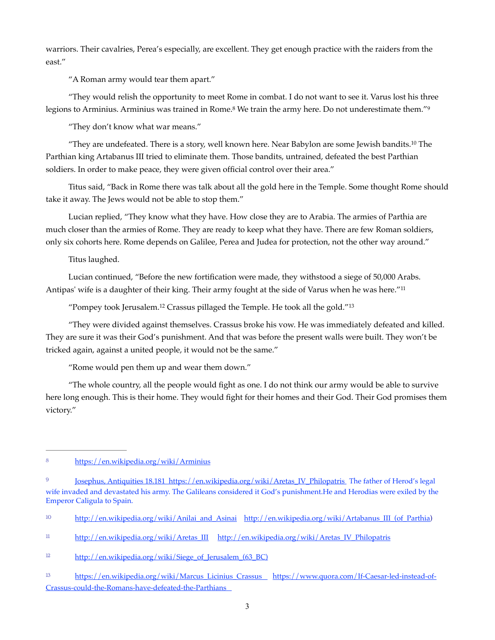warriors. Their cavalries, Perea's especially, are excellent. They get enough practice with the raiders from the east."

"A Roman army would tear them apart."

"They would relish the opportunity to meet Rome in combat. I do not want to see it. Varus lost his three legions to Arminius. Arminius was trained in Rome.<sup>[8](#page-2-0)</sup> We train the army here. Do not underestimate them."<sup>[9](#page-2-1)</sup>

<span id="page-2-8"></span><span id="page-2-7"></span><span id="page-2-6"></span>"They don't know what war means."

"They are undefeated. There is a story, well known here. Near Babylon are some Jewish bandits.<sup>[10](#page-2-2)</sup> The Parthian king Artabanus III tried to eliminate them. Those bandits, untrained, defeated the best Parthian soldiers. In order to make peace, they were given official control over their area."

Titus said, "Back in Rome there was talk about all the gold here in the Temple. Some thought Rome should take it away. The Jews would not be able to stop them."

Lucian replied, "They know what they have. How close they are to Arabia. The armies of Parthia are much closer than the armies of Rome. They are ready to keep what they have. There are few Roman soldiers, only six cohorts here. Rome depends on Galilee, Perea and Judea for protection, not the other way around."

Titus laughed.

Lucian continued, "Before the new fortification were made, they withstood a siege of 50,000 Arabs. Antipas' wife is a daughter of their king. Their army fought at the side of Varus when he was here."[11](#page-2-3)

<span id="page-2-11"></span><span id="page-2-10"></span><span id="page-2-9"></span>"Pompey took Jerusalem[.12](#page-2-4) Crassus pillaged the Temple. He took all the gold."[13](#page-2-5)

"They were divided against themselves. Crassus broke his vow. He was immediately defeated and killed. They are sure it was their God's punishment. And that was before the present walls were built. They won't be tricked again, against a united people, it would not be the same."

"Rome would pen them up and wear them down."

"The whole country, all the people would fight as one. I do not think our army would be able to survive here long enough. This is their home. They would fight for their homes and their God. Their God promises them victory."

<span id="page-2-0"></span><sup>8</sup>https://en.wikipedia.org/wiki/Arminius

<span id="page-2-1"></span><sup>&</sup>lt;sup>9</sup> Josephus, Antiquities [18.181](http://data.perseus.org/citations/urn:cts:greekLit:tlg0526.tlg004.perseus-eng1:2.181) [https://en.wikipedia.org/wiki/Aretas\\_IV\\_Philopatris](https://en.wikipedia.org/wiki/Aretas_IV_Philopatris) The father of Herod's legal wife invaded and devastated his army. The Galileans considered it God's punishment.He and Herodias were exiled by the Emperor Caligula to Spain.

<span id="page-2-2"></span><sup>&</sup>lt;sup>10</sup> [http://en.wikipedia.org/wiki/Anilai\\_and\\_Asinai](http://en.wikipedia.org/wiki/Anilai_and_Asinai) http://en.wikipedia.org/wiki/Artabanus III (of Parthia)

<span id="page-2-3"></span> $h(t)$  [http://en.wikipedia.org/wiki/Aretas\\_III](http://en.wikipedia.org/wiki/Aretas_III) [http://en.wikipedia.org/wiki/Aretas\\_IV\\_Philopatris](http://en.wikipedia.org/wiki/Aretas_IV_Philopatris)

<span id="page-2-4"></span><sup>&</sup>lt;sup>[12](#page-2-10)</sup> http://en.wikipedia.org/wiki/Siege\_of\_Jerusalem\_(63\_BC)

<span id="page-2-5"></span><sup>13</sup> [https://en.wikipedia.org/wiki/Marcus\\_Licinius\\_Crassus](https://en.wikipedia.org/wiki/Marcus_Licinius_Crassus) [https://www.quora.com/If-Caesar-led-instead-of-](https://www.quora.com/If-Caesar-led-instead-of-Crassus-could-the-Romans-have-defeated-the-Parthians) [Crassus-could-the-Romans-have-defeated-the-Parthians](https://www.quora.com/If-Caesar-led-instead-of-Crassus-could-the-Romans-have-defeated-the-Parthians)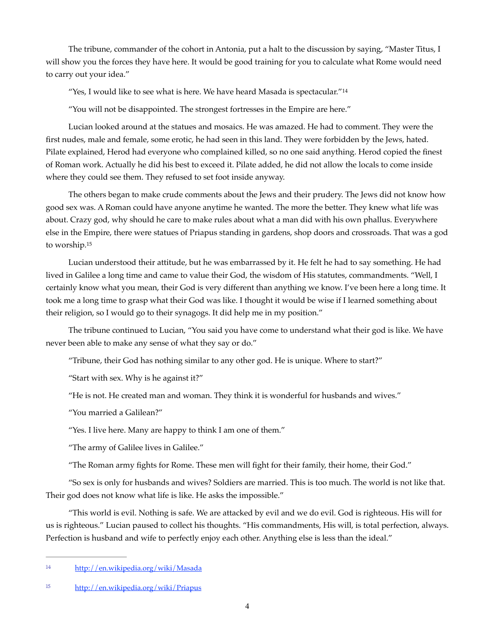The tribune, commander of the cohort in Antonia, put a halt to the discussion by saying, "Master Titus, I will show you the forces they have here. It would be good training for you to calculate what Rome would need to carry out your idea."

<span id="page-3-2"></span>"Yes, I would like to see what is here. We have heard Masada is spectacular."<sup>[14](#page-3-0)</sup>

"You will not be disappointed. The strongest fortresses in the Empire are here."

Lucian looked around at the statues and mosaics. He was amazed. He had to comment. They were the first nudes, male and female, some erotic, he had seen in this land. They were forbidden by the Jews, hated. Pilate explained, Herod had everyone who complained killed, so no one said anything. Herod copied the finest of Roman work. Actually he did his best to exceed it. Pilate added, he did not allow the locals to come inside where they could see them. They refused to set foot inside anyway.

The others began to make crude comments about the Jews and their prudery. The Jews did not know how good sex was. A Roman could have anyone anytime he wanted. The more the better. They knew what life was about. Crazy god, why should he care to make rules about what a man did with his own phallus. Everywhere else in the Empire, there were statues of Priapus standing in gardens, shop doors and crossroads. That was a god to worship[.15](#page-3-1)

<span id="page-3-3"></span>Lucian understood their attitude, but he was embarrassed by it. He felt he had to say something. He had lived in Galilee a long time and came to value their God, the wisdom of His statutes, commandments. "Well, I certainly know what you mean, their God is very different than anything we know. I've been here a long time. It took me a long time to grasp what their God was like. I thought it would be wise if I learned something about their religion, so I would go to their synagogs. It did help me in my position."

The tribune continued to Lucian, "You said you have come to understand what their god is like. We have never been able to make any sense of what they say or do."

"Tribune, their God has nothing similar to any other god. He is unique. Where to start?"

"Start with sex. Why is he against it?"

"He is not. He created man and woman. They think it is wonderful for husbands and wives."

"You married a Galilean?"

"Yes. I live here. Many are happy to think I am one of them."

"The army of Galilee lives in Galilee."

"The Roman army fights for Rome. These men will fight for their family, their home, their God."

"So sex is only for husbands and wives? Soldiers are married. This is too much. The world is not like that. Their god does not know what life is like. He asks the impossible."

"This world is evil. Nothing is safe. We are attacked by evil and we do evil. God is righteous. His will for us is righteous." Lucian paused to collect his thoughts. "His commandments, His will, is total perfection, always. Perfection is husband and wife to perfectly enjoy each other. Anything else is less than the ideal."

<span id="page-3-0"></span>[<sup>14</sup>](#page-3-2) http://en.wikipedia.org/wiki/Masada

<span id="page-3-1"></span><http://en.wikipedia.org/wiki/Priapus> [15](#page-3-3)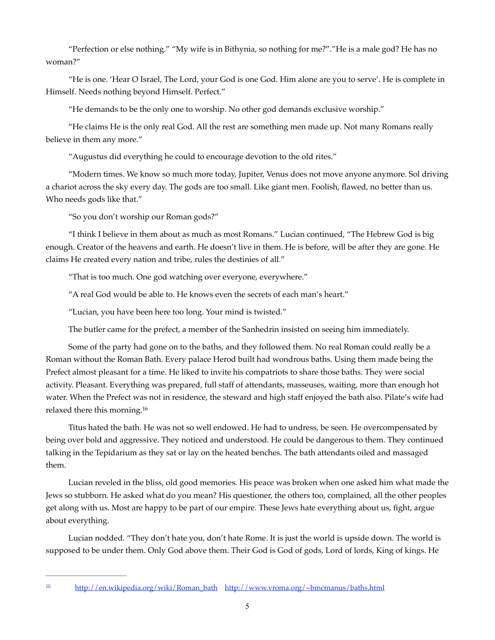"Perfection or else nothing." "My wife is in Bithynia, so nothing for me?"."He is a male god? He has no woman?"

"He is one. 'Hear O Israel, The Lord, your God is one God. Him alone are you to serve'. He is complete in Himself. Needs nothing beyond Himself. Perfect."

"He demands to be the only one to worship. No other god demands exclusive worship."

"He claims He is the only real God. All the rest are something men made up. Not many Romans really believe in them any more."

"Augustus did everything he could to encourage devotion to the old rites."

"Modern times. We know so much more today, Jupiter, Venus does not move anyone anymore. Sol driving a chariot across the sky every day. The gods are too small. Like giant men. Foolish, flawed, no better than us. Who needs gods like that."

"So you don't worship our Roman gods?"

"I think I believe in them about as much as most Romans." Lucian continued, "The Hebrew God is big enough. Creator of the heavens and earth. He doesn't live in them. He is before, will be after they are gone. He claims He created every nation and tribe, rules the destinies of all."

"That is too much. One god watching over everyone, everywhere."

"A real God would be able to. He knows even the secrets of each man's heart."

"Lucian, you have been here too long. Your mind is twisted."

The butler came for the prefect, a member of the Sanhedrin insisted on seeing him immediately.

Some of the party had gone on to the baths, and they followed them. No real Roman could really be a Roman without the Roman Bath. Every palace Herod built had wondrous baths. Using them made being the Prefect almost pleasant for a time. He liked to invite his compatriots to share those baths. They were social activity. Pleasant. Everything was prepared, full staff of attendants, masseuses, waiting, more than enough hot water. When the Prefect was not in residence, the steward and high staff enjoyed the bath also. Pilate's wife had relaxed there this morning[.16](#page-4-0)

<span id="page-4-1"></span>Titus hated the bath. He was not so well endowed. He had to undress, be seen. He overcompensated by being over bold and aggressive. They noticed and understood. He could be dangerous to them. They continued talking in the Tepidarium as they sat or lay on the heated benches. The bath attendants oiled and massaged them.

Lucian reveled in the bliss, old good memories. His peace was broken when one asked him what made the Jews so stubborn. He asked what do you mean? His questioner, the others too, complained, all the other peoples get along with us. Most are happy to be part of our empire. These Jews hate everything about us, fight, argue about everything.

Lucian nodded. "They don't hate you, don't hate Rome. It is just the world is upside down. The world is supposed to be under them. Only God above them. Their God is God of gods, Lord of lords, King of kings. He

<span id="page-4-0"></span><sup>16</sup> [http://en.wikipedia.org/wiki/Roman\\_bath](http://en.wikipedia.org/wiki/Roman_bath) http://www.vroma.org/~bmcmanus/baths.html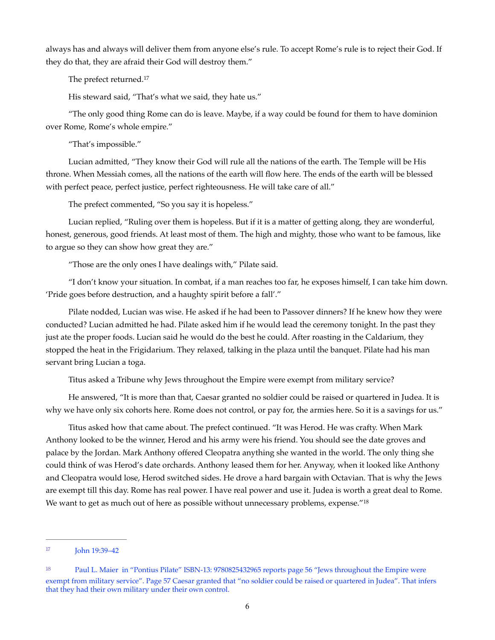always has and always will deliver them from anyone else's rule. To accept Rome's rule is to reject their God. If they do that, they are afraid their God will destroy them."

<span id="page-5-2"></span>The prefect returned.[17](#page-5-0)

His steward said, "That's what we said, they hate us."

"The only good thing Rome can do is leave. Maybe, if a way could be found for them to have dominion over Rome, Rome's whole empire."

"That's impossible."

Lucian admitted, "They know their God will rule all the nations of the earth. The Temple will be His throne. When Messiah comes, all the nations of the earth will flow here. The ends of the earth will be blessed with perfect peace, perfect justice, perfect righteousness. He will take care of all."

The prefect commented, "So you say it is hopeless."

Lucian replied, "Ruling over them is hopeless. But if it is a matter of getting along, they are wonderful, honest, generous, good friends. At least most of them. The high and mighty, those who want to be famous, like to argue so they can show how great they are."

"Those are the only ones I have dealings with," Pilate said.

"I don't know your situation. In combat, if a man reaches too far, he exposes himself, I can take him down. 'Pride goes before destruction, and a haughty spirit before a fall'."

Pilate nodded, Lucian was wise. He asked if he had been to Passover dinners? If he knew how they were conducted? Lucian admitted he had. Pilate asked him if he would lead the ceremony tonight. In the past they just ate the proper foods. Lucian said he would do the best he could. After roasting in the Caldarium, they stopped the heat in the Frigidarium. They relaxed, talking in the plaza until the banquet. Pilate had his man servant bring Lucian a toga.

<span id="page-5-3"></span>Titus asked a Tribune why Jews throughout the Empire were exempt from military service?

He answered, "It is more than that, Caesar granted no soldier could be raised or quartered in Judea. It is why we have only six cohorts here. Rome does not control, or pay for, the armies here. So it is a savings for us."

Titus asked how that came about. The prefect continued. "It was Herod. He was crafty. When Mark Anthony looked to be the winner, Herod and his army were his friend. You should see the date groves and palace by the Jordan. Mark Anthony offered Cleopatra anything she wanted in the world. The only thing she could think of was Herod's date orchards. Anthony leased them for her. Anyway, when it looked like Anthony and Cleopatra would lose, Herod switched sides. He drove a hard bargain with Octavian. That is why the Jews are exempt till this day. Rome has real power. I have real power and use it. Judea is worth a great deal to Rome. We want to get as much out of here as possible without unnecessary problems, expense."<sup>[18](#page-5-1)</sup>

<span id="page-5-0"></span>[<sup>17</sup>](#page-5-2) **John 19:39–42** 

<span id="page-5-1"></span><sup>&</sup>lt;sup>[18](#page-5-3)</sup> Paul L. Maier in "Pontius Pilate" ISBN-13: 9780825432965 reports page 56 "Jews throughout the Empire were exempt from military service". Page 57 Caesar granted that "no soldier could be raised or quartered in Judea". That infers that they had their own military under their own control.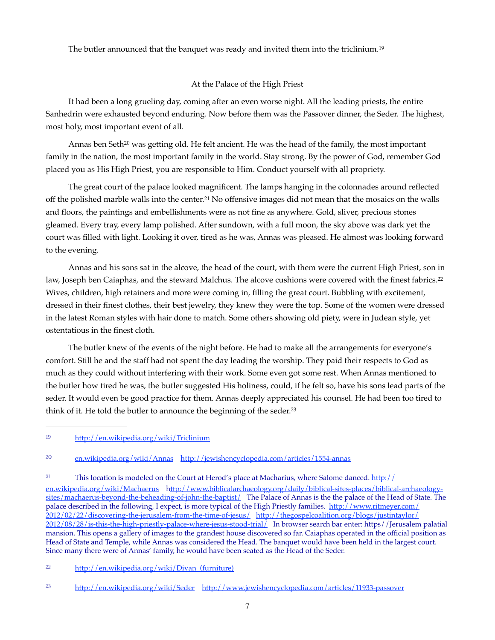The butler announced that the banquet was ready and invited them into the triclinium.[19](#page-6-0)

## <span id="page-6-8"></span><span id="page-6-7"></span><span id="page-6-5"></span>At the Palace of the High Priest

It had been a long grueling day, coming after an even worse night. All the leading priests, the entire Sanhedrin were exhausted beyond enduring. Now before them was the Passover dinner, the Seder. The highest, most holy, most important event of all.

<span id="page-6-6"></span>Annas ben Seth<sup>[20](#page-6-1)</sup> was getting old. He felt ancient. He was the head of the family, the most important family in the nation, the most important family in the world. Stay strong. By the power of God, remember God placed you as His High Priest, you are responsible to Him. Conduct yourself with all propriety.

The great court of the palace looked magnificent. The lamps hanging in the colonnades around reflected off the polished marble walls into the center.<sup>[21](#page-6-2)</sup> No offensive images did not mean that the mosaics on the walls and floors, the paintings and embellishments were as not fine as anywhere. Gold, sliver, precious stones gleamed. Every tray, every lamp polished. After sundown, with a full moon, the sky above was dark yet the court was filled with light. Looking it over, tired as he was, Annas was pleased. He almost was looking forward to the evening.

Annas and his sons sat in the alcove, the head of the court, with them were the current High Priest, son in law, Joseph ben Caiaphas, and the steward Malchus. The alcove cushions were covered with the finest fabrics.[22](#page-6-3) Wives, children, high retainers and more were coming in, filling the great court. Bubbling with excitement, dressed in their finest clothes, their best jewelry, they knew they were the top. Some of the women were dressed in the latest Roman styles with hair done to match. Some others showing old piety, were in Judean style, yet ostentatious in the finest cloth.

The butler knew of the events of the night before. He had to make all the arrangements for everyone's comfort. Still he and the staff had not spent the day leading the worship. They paid their respects to God as much as they could without interfering with their work. Some even got some rest. When Annas mentioned to the butler how tired he was, the butler suggested His holiness, could, if he felt so, have his sons lead parts of the seder. It would even be good practice for them. Annas deeply appreciated his counsel. He had been too tired to think of it. He told the butler to announce the beginning of the seder.<sup>23</sup>

<span id="page-6-1"></span>[en.wikipedia.org/wiki/Annas](http://en.wikipedia.org/wiki/Annas) <http://jewishencyclopedia.com/articles/1554-annas>[20](#page-6-6)

<span id="page-6-2"></span><sup>[21](#page-6-7)</sup> This location is modeled on the Court at Herod's place at Macharius, where Salome danced. [http://](http://en.wikipedia.org/wiki/Machaerus)

[en.wikipedia.org/wiki/Machaerus](http://en.wikipedia.org/wiki/Machaerus) http://www.biblicalarchaeology.org/daily/biblical-sites-places/biblical-archaeologysites/machaerus-beyond-the-beheading-of-john-the-baptist/ The Palace of Annas is the the palace of the Head of State. The palace described in the following, I expect, is more typical of the High Priestly families. [http://www.ritmeyer.com/](http://www.ritmeyer.com/2012/02/22/discovering-the-jerusalem-from-the-time-of-jesus/) [2012/02/22/discovering-the-jerusalem-from-the-time-of-jesus/](http://www.ritmeyer.com/2012/02/22/discovering-the-jerusalem-from-the-time-of-jesus/) [http://thegospelcoalition.org/blogs/justintaylor/](http://thegospelcoalition.org/blogs/justintaylor/2012/08/28/is-this-the-high-priestly-palace-where-jesus-stood-trial/) [2012/08/28/is-this-the-high-priestly-palace-where-jesus-stood-trial/ In browser search bar enter: https//Jerusalem](http://thegospelcoalition.org/blogs/justintaylor/2012/08/28/is-this-the-high-priestly-palace-where-jesus-stood-trial/) palatial mansion. This opens a gallery of images to the grandest house discovered so far. Caiaphas operated in the official position as Head of State and Temple, while Annas was considered the Head. The banquet would have been held in the largest court. Since many there were of Annas' family, he would have been seated as the Head of the Seder.

<span id="page-6-3"></span>[22](#page-6-8) http://en.wikipedia.org/wiki/Divan (furniture)

<span id="page-6-9"></span><span id="page-6-0"></span><http://en.wikipedia.org/wiki/Triclinium>[19](#page-6-5)

<span id="page-6-4"></span><sup>&</sup>lt;sup>23</sup> <http://en.wikipedia.org/wiki/Seder><http://www.jewishencyclopedia.com/articles/11933-passover>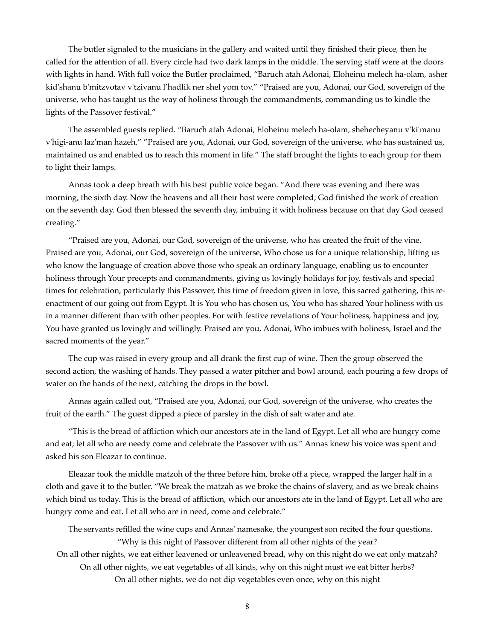The butler signaled to the musicians in the gallery and waited until they finished their piece, then he called for the attention of all. Every circle had two dark lamps in the middle. The serving staff were at the doors with lights in hand. With full voice the Butler proclaimed, "Baruch atah Adonai, Eloheinu melech ha-olam, asher kid'shanu b'mitzvotav v'tzivanu l'hadlik ner shel yom tov." "Praised are you, Adonai, our God, sovereign of the universe, who has taught us the way of holiness through the commandments, commanding us to kindle the lights of the Passover festival."

The assembled guests replied. "Baruch atah Adonai, Eloheinu melech ha-olam, shehecheyanu v'ki'manu v'higi-anu laz'man hazeh." "Praised are you, Adonai, our God, sovereign of the universe, who has sustained us, maintained us and enabled us to reach this moment in life." The staff brought the lights to each group for them to light their lamps.

Annas took a deep breath with his best public voice began. "And there was evening and there was morning, the sixth day. Now the heavens and all their host were completed; God finished the work of creation on the seventh day. God then blessed the seventh day, imbuing it with holiness because on that day God ceased creating."

"Praised are you, Adonai, our God, sovereign of the universe, who has created the fruit of the vine. Praised are you, Adonai, our God, sovereign of the universe, Who chose us for a unique relationship, lifting us who know the language of creation above those who speak an ordinary language, enabling us to encounter holiness through Your precepts and commandments, giving us lovingly holidays for joy, festivals and special times for celebration, particularly this Passover, this time of freedom given in love, this sacred gathering, this reenactment of our going out from Egypt. It is You who has chosen us, You who has shared Your holiness with us in a manner different than with other peoples. For with festive revelations of Your holiness, happiness and joy, You have granted us lovingly and willingly. Praised are you, Adonai, Who imbues with holiness, Israel and the sacred moments of the year."

The cup was raised in every group and all drank the first cup of wine. Then the group observed the second action, the washing of hands. They passed a water pitcher and bowl around, each pouring a few drops of water on the hands of the next, catching the drops in the bowl.

Annas again called out, "Praised are you, Adonai, our God, sovereign of the universe, who creates the fruit of the earth." The guest dipped a piece of parsley in the dish of salt water and ate.

"This is the bread of affliction which our ancestors ate in the land of Egypt. Let all who are hungry come and eat; let all who are needy come and celebrate the Passover with us." Annas knew his voice was spent and asked his son Eleazar to continue.

Eleazar took the middle matzoh of the three before him, broke off a piece, wrapped the larger half in a cloth and gave it to the butler. "We break the matzah as we broke the chains of slavery, and as we break chains which bind us today. This is the bread of affliction, which our ancestors ate in the land of Egypt. Let all who are hungry come and eat. Let all who are in need, come and celebrate."

The servants refilled the wine cups and Annas' namesake, the youngest son recited the four questions. "Why is this night of Passover different from all other nights of the year? On all other nights, we eat either leavened or unleavened bread, why on this night do we eat only matzah? On all other nights, we eat vegetables of all kinds, why on this night must we eat bitter herbs? On all other nights, we do not dip vegetables even once, why on this night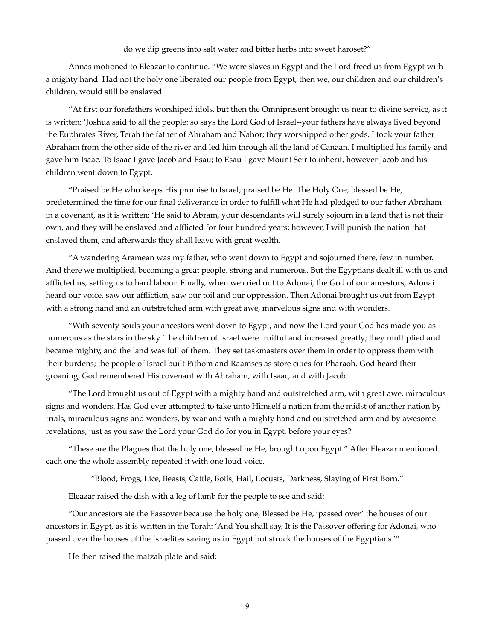#### do we dip greens into salt water and bitter herbs into sweet haroset?"

Annas motioned to Eleazar to continue. "We were slaves in Egypt and the Lord freed us from Egypt with a mighty hand. Had not the holy one liberated our people from Egypt, then we, our children and our children's children, would still be enslaved.

"At first our forefathers worshiped idols, but then the Omnipresent brought us near to divine service, as it is written: 'Joshua said to all the people: so says the Lord God of Israel--your fathers have always lived beyond the Euphrates River, Terah the father of Abraham and Nahor; they worshipped other gods. I took your father Abraham from the other side of the river and led him through all the land of Canaan. I multiplied his family and gave him Isaac. To Isaac I gave Jacob and Esau; to Esau I gave Mount Seir to inherit, however Jacob and his children went down to Egypt.

"Praised be He who keeps His promise to Israel; praised be He. The Holy One, blessed be He, predetermined the time for our final deliverance in order to fulfill what He had pledged to our father Abraham in a covenant, as it is written: 'He said to Abram, your descendants will surely sojourn in a land that is not their own, and they will be enslaved and afflicted for four hundred years; however, I will punish the nation that enslaved them, and afterwards they shall leave with great wealth.

"A wandering Aramean was my father, who went down to Egypt and sojourned there, few in number. And there we multiplied, becoming a great people, strong and numerous. But the Egyptians dealt ill with us and afflicted us, setting us to hard labour. Finally, when we cried out to Adonai, the God of our ancestors, Adonai heard our voice, saw our affliction, saw our toil and our oppression. Then Adonai brought us out from Egypt with a strong hand and an outstretched arm with great awe, marvelous signs and with wonders.

"With seventy souls your ancestors went down to Egypt, and now the Lord your God has made you as numerous as the stars in the sky. The children of Israel were fruitful and increased greatly; they multiplied and became mighty, and the land was full of them. They set taskmasters over them in order to oppress them with their burdens; the people of Israel built Pithom and Raamses as store cities for Pharaoh. God heard their groaning; God remembered His covenant with Abraham, with Isaac, and with Jacob.

"The Lord brought us out of Egypt with a mighty hand and outstretched arm, with great awe, miraculous signs and wonders. Has God ever attempted to take unto Himself a nation from the midst of another nation by trials, miraculous signs and wonders, by war and with a mighty hand and outstretched arm and by awesome revelations, just as you saw the Lord your God do for you in Egypt, before your eyes?

"These are the Plagues that the holy one, blessed be He, brought upon Egypt." After Eleazar mentioned each one the whole assembly repeated it with one loud voice.

"Blood, Frogs, Lice, Beasts, Cattle, Boils, Hail, Locusts, Darkness, Slaying of First Born."

Eleazar raised the dish with a leg of lamb for the people to see and said:

"Our ancestors ate the Passover because the holy one, Blessed be He, 'passed over' the houses of our ancestors in Egypt, as it is written in the Torah: 'And You shall say, It is the Passover offering for Adonai, who passed over the houses of the Israelites saving us in Egypt but struck the houses of the Egyptians.'"

He then raised the matzah plate and said: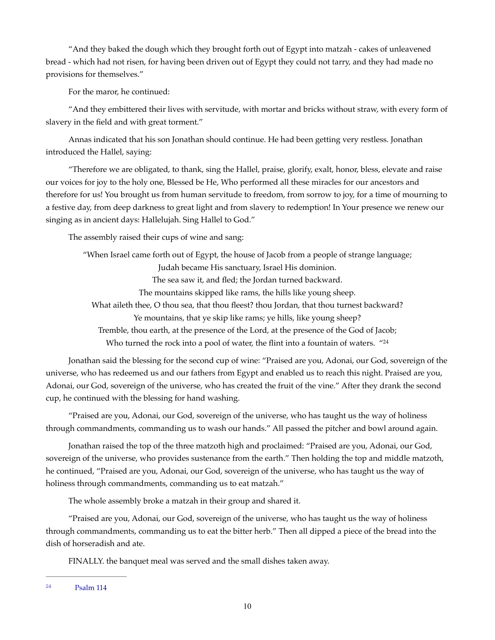"And they baked the dough which they brought forth out of Egypt into matzah - cakes of unleavened bread - which had not risen, for having been driven out of Egypt they could not tarry, and they had made no provisions for themselves."

For the maror, he continued:

"And they embittered their lives with servitude, with mortar and bricks without straw, with every form of slavery in the field and with great torment."

Annas indicated that his son Jonathan should continue. He had been getting very restless. Jonathan introduced the Hallel, saying:

"Therefore we are obligated, to thank, sing the Hallel, praise, glorify, exalt, honor, bless, elevate and raise our voices for joy to the holy one, Blessed be He, Who performed all these miracles for our ancestors and therefore for us! You brought us from human servitude to freedom, from sorrow to joy, for a time of mourning to a festive day, from deep darkness to great light and from slavery to redemption! In Your presence we renew our singing as in ancient days: Hallelujah. Sing Hallel to God."

The assembly raised their cups of wine and sang:

<span id="page-9-1"></span>"When Israel came forth out of Egypt, the house of Jacob from a people of strange language; Judah became His sanctuary, Israel His dominion. The sea saw it, and fled; the Jordan turned backward. The mountains skipped like rams, the hills like young sheep. What aileth thee, O thou sea, that thou fleest? thou Jordan, that thou turnest backward? Ye mountains, that ye skip like rams; ye hills, like young sheep? Tremble, thou earth, at the presence of the Lord, at the presence of the God of Jacob; Who turned the rock into a pool of water, the flint into a fountain of waters. ["24](#page-9-0)

Jonathan said the blessing for the second cup of wine: "Praised are you, Adonai, our God, sovereign of the universe, who has redeemed us and our fathers from Egypt and enabled us to reach this night. Praised are you, Adonai, our God, sovereign of the universe, who has created the fruit of the vine." After they drank the second cup, he continued with the blessing for hand washing.

"Praised are you, Adonai, our God, sovereign of the universe, who has taught us the way of holiness through commandments, commanding us to wash our hands." All passed the pitcher and bowl around again.

Jonathan raised the top of the three matzoth high and proclaimed: "Praised are you, Adonai, our God, sovereign of the universe, who provides sustenance from the earth." Then holding the top and middle matzoth, he continued, "Praised are you, Adonai, our God, sovereign of the universe, who has taught us the way of holiness through commandments, commanding us to eat matzah."

The whole assembly broke a matzah in their group and shared it.

"Praised are you, Adonai, our God, sovereign of the universe, who has taught us the way of holiness through commandments, commanding us to eat the bitter herb." Then all dipped a piece of the bread into the dish of horseradish and ate.

FINALLY. the banquet meal was served and the small dishes taken away.

<span id="page-9-0"></span><sup>&</sup>lt;sup>[24](#page-9-1)</sup> Psalm 114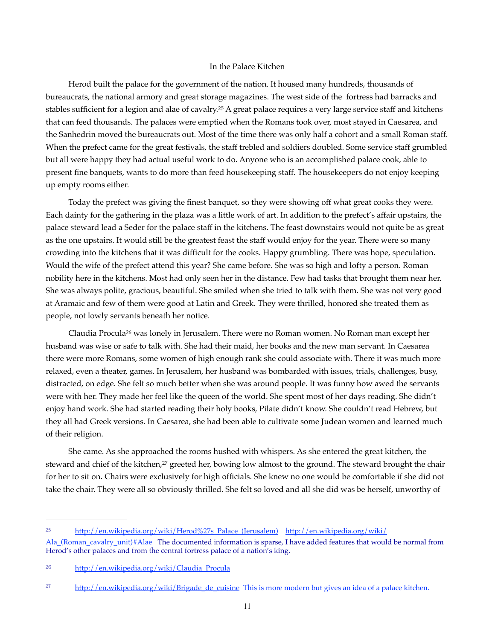#### <span id="page-10-3"></span>In the Palace Kitchen

Herod built the palace for the government of the nation. It housed many hundreds, thousands of bureaucrats, the national armory and great storage magazines. The west side of the fortress had barracks and stables sufficient for a legion and alae of cavalry.<sup>[25](#page-10-0)</sup> A great palace requires a very large service staff and kitchens that can feed thousands. The palaces were emptied when the Romans took over, most stayed in Caesarea, and the Sanhedrin moved the bureaucrats out. Most of the time there was only half a cohort and a small Roman staff. When the prefect came for the great festivals, the staff trebled and soldiers doubled. Some service staff grumbled but all were happy they had actual useful work to do. Anyone who is an accomplished palace cook, able to present fine banquets, wants to do more than feed housekeeping staff. The housekeepers do not enjoy keeping up empty rooms either.

Today the prefect was giving the finest banquet, so they were showing off what great cooks they were. Each dainty for the gathering in the plaza was a little work of art. In addition to the prefect's affair upstairs, the palace steward lead a Seder for the palace staff in the kitchens. The feast downstairs would not quite be as great as the one upstairs. It would still be the greatest feast the staff would enjoy for the year. There were so many crowding into the kitchens that it was difficult for the cooks. Happy grumbling. There was hope, speculation. Would the wife of the prefect attend this year? She came before. She was so high and lofty a person. Roman nobility here in the kitchens. Most had only seen her in the distance. Few had tasks that brought them near her. She was always polite, gracious, beautiful. She smiled when she tried to talk with them. She was not very good at Aramaic and few of them were good at Latin and Greek. They were thrilled, honored she treated them as people, not lowly servants beneath her notice.

<span id="page-10-4"></span>ClaudiaProcula<sup>[26](#page-10-1)</sup> was lonely in Jerusalem. There were no Roman women. No Roman man except her husband was wise or safe to talk with. She had their maid, her books and the new man servant. In Caesarea there were more Romans, some women of high enough rank she could associate with. There it was much more relaxed, even a theater, games. In Jerusalem, her husband was bombarded with issues, trials, challenges, busy, distracted, on edge. She felt so much better when she was around people. It was funny how awed the servants were with her. They made her feel like the queen of the world. She spent most of her days reading. She didn't enjoy hand work. She had started reading their holy books, Pilate didn't know. She couldn't read Hebrew, but they all had Greek versions. In Caesarea, she had been able to cultivate some Judean women and learned much of their religion.

<span id="page-10-5"></span>She came. As she approached the rooms hushed with whispers. As she entered the great kitchen, the steward and chief of the kitchen,<sup>[27](#page-10-2)</sup> greeted her, bowing low almost to the ground. The steward brought the chair for her to sit on. Chairs were exclusively for high officials. She knew no one would be comfortable if she did not take the chair. They were all so obviously thrilled. She felt so loved and all she did was be herself, unworthy of

<span id="page-10-0"></span>[<sup>25</sup>](#page-10-3) [http://en.wikipedia.org/wiki/Herod%27s\\_Palace\\_\(Jerusalem\)](http://en.wikipedia.org/wiki/Herod%27s_Palace_(Jerusalem)) [http://en.wikipedia.org/wiki/](http://en.wikipedia.org/wiki/Ala_(Roman_cavalry_unit)#Alae)

Ala (Roman\_cavalry\_unit)#Alae The documented information is sparse, I have added features that would be normal from Herod's other palaces and from the central fortress palace of a nation's king.

<span id="page-10-1"></span><sup>&</sup>lt;sup>[26](#page-10-4)</sup> [http://en.wikipedia.org/wiki/Claudia\\_Procula](http://en.wikipedia.org/wiki/Claudia_Procula)

<span id="page-10-2"></span> $\frac{\text{http://en.wikipedia.org/wiki/Brigade de cuisine}}{\text{http://en.wikipedia.org/wiki/Brigade de cuisine}}$  This is more modern but gives an idea of a palace kitchen.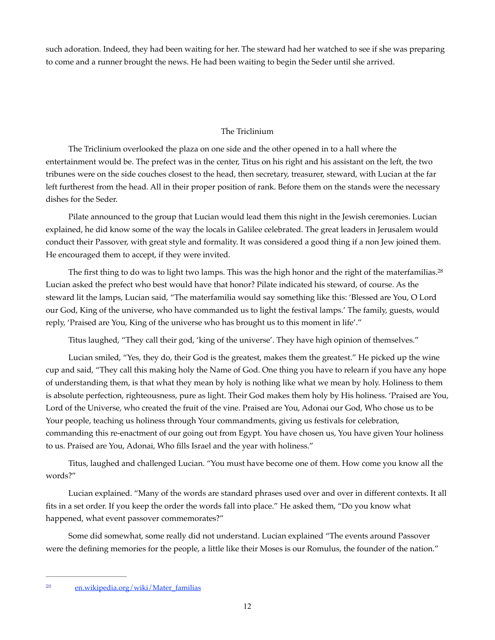such adoration. Indeed, they had been waiting for her. The steward had her watched to see if she was preparing to come and a runner brought the news. He had been waiting to begin the Seder until she arrived.

## <span id="page-11-1"></span>The Triclinium

The Triclinium overlooked the plaza on one side and the other opened in to a hall where the entertainment would be. The prefect was in the center, Titus on his right and his assistant on the left, the two tribunes were on the side couches closest to the head, then secretary, treasurer, steward, with Lucian at the far left furtherest from the head. All in their proper position of rank. Before them on the stands were the necessary dishes for the Seder.

Pilate announced to the group that Lucian would lead them this night in the Jewish ceremonies. Lucian explained, he did know some of the way the locals in Galilee celebrated. The great leaders in Jerusalem would conduct their Passover, with great style and formality. It was considered a good thing if a non Jew joined them. He encouraged them to accept, if they were invited.

The first thing to do was to light two lamps. This was the high honor and the right of the materfamilias.[28](#page-11-0) Lucian asked the prefect who best would have that honor? Pilate indicated his steward, of course. As the steward lit the lamps, Lucian said, "The materfamilia would say something like this: 'Blessed are You, O Lord our God, King of the universe, who have commanded us to light the festival lamps.' The family, guests, would reply, 'Praised are You, King of the universe who has brought us to this moment in life'."

Titus laughed, "They call their god, 'king of the universe'. They have high opinion of themselves."

Lucian smiled, "Yes, they do, their God is the greatest, makes them the greatest." He picked up the wine cup and said, "They call this making holy the Name of God. One thing you have to relearn if you have any hope of understanding them, is that what they mean by holy is nothing like what we mean by holy. Holiness to them is absolute perfection, righteousness, pure as light. Their God makes them holy by His holiness. 'Praised are You, Lord of the Universe, who created the fruit of the vine. Praised are You, Adonai our God, Who chose us to be Your people, teaching us holiness through Your commandments, giving us festivals for celebration, commanding this re-enactment of our going out from Egypt. You have chosen us, You have given Your holiness to us. Praised are You, Adonai, Who fills Israel and the year with holiness."

Titus, laughed and challenged Lucian. "You must have become one of them. How come you know all the words?"

Lucian explained. "Many of the words are standard phrases used over and over in different contexts. It all fits in a set order. If you keep the order the words fall into place." He asked them, "Do you know what happened, what event passover commemorates?"

Some did somewhat, some really did not understand. Lucian explained "The events around Passover were the defining memories for the people, a little like their Moses is our Romulus, the founder of the nation."

<span id="page-11-0"></span><sup>&</sup>lt;sup>28</sup>en.wikipedia.org/wiki/Mater\_familias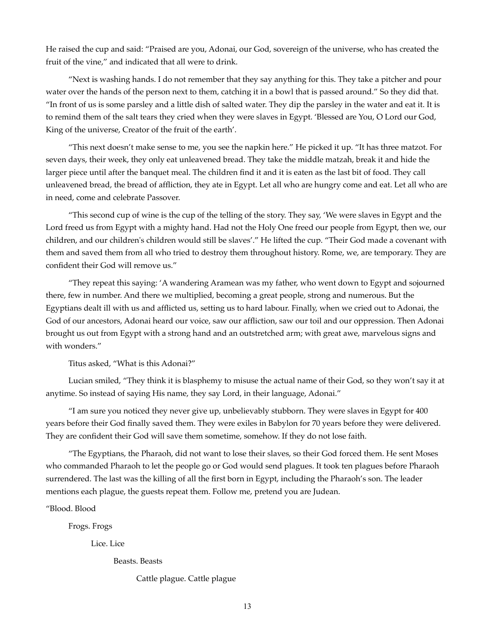He raised the cup and said: "Praised are you, Adonai, our God, sovereign of the universe, who has created the fruit of the vine," and indicated that all were to drink.

"Next is washing hands. I do not remember that they say anything for this. They take a pitcher and pour water over the hands of the person next to them, catching it in a bowl that is passed around." So they did that. "In front of us is some parsley and a little dish of salted water. They dip the parsley in the water and eat it. It is to remind them of the salt tears they cried when they were slaves in Egypt. 'Blessed are You, O Lord our God, King of the universe, Creator of the fruit of the earth'.

"This next doesn't make sense to me, you see the napkin here." He picked it up. "It has three matzot. For seven days, their week, they only eat unleavened bread. They take the middle matzah, break it and hide the larger piece until after the banquet meal. The children find it and it is eaten as the last bit of food. They call unleavened bread, the bread of affliction, they ate in Egypt. Let all who are hungry come and eat. Let all who are in need, come and celebrate Passover.

"This second cup of wine is the cup of the telling of the story. They say, 'We were slaves in Egypt and the Lord freed us from Egypt with a mighty hand. Had not the Holy One freed our people from Egypt, then we, our children, and our children's children would still be slaves'." He lifted the cup. "Their God made a covenant with them and saved them from all who tried to destroy them throughout history. Rome, we, are temporary. They are confident their God will remove us."

"They repeat this saying: 'A wandering Aramean was my father, who went down to Egypt and sojourned there, few in number. And there we multiplied, becoming a great people, strong and numerous. But the Egyptians dealt ill with us and afflicted us, setting us to hard labour. Finally, when we cried out to Adonai, the God of our ancestors, Adonai heard our voice, saw our affliction, saw our toil and our oppression. Then Adonai brought us out from Egypt with a strong hand and an outstretched arm; with great awe, marvelous signs and with wonders."

Titus asked, "What is this Adonai?"

Lucian smiled, "They think it is blasphemy to misuse the actual name of their God, so they won't say it at anytime. So instead of saying His name, they say Lord, in their language, Adonai."

"I am sure you noticed they never give up, unbelievably stubborn. They were slaves in Egypt for 400 years before their God finally saved them. They were exiles in Babylon for 70 years before they were delivered. They are confident their God will save them sometime, somehow. If they do not lose faith.

"The Egyptians, the Pharaoh, did not want to lose their slaves, so their God forced them. He sent Moses who commanded Pharaoh to let the people go or God would send plagues. It took ten plagues before Pharaoh surrendered. The last was the killing of all the first born in Egypt, including the Pharaoh's son. The leader mentions each plague, the guests repeat them. Follow me, pretend you are Judean.

"Blood. Blood

Frogs. Frogs

Lice. Lice

Beasts. Beasts

Cattle plague. Cattle plague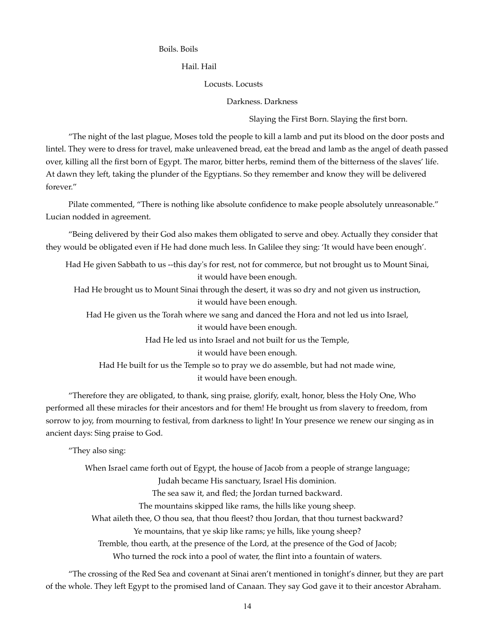#### Boils. Boils

Hail. Hail

Locusts. Locusts

Darkness. Darkness

Slaying the First Born. Slaying the first born.

"The night of the last plague, Moses told the people to kill a lamb and put its blood on the door posts and lintel. They were to dress for travel, make unleavened bread, eat the bread and lamb as the angel of death passed over, killing all the first born of Egypt. The maror, bitter herbs, remind them of the bitterness of the slaves' life. At dawn they left, taking the plunder of the Egyptians. So they remember and know they will be delivered forever."

Pilate commented, "There is nothing like absolute confidence to make people absolutely unreasonable." Lucian nodded in agreement.

"Being delivered by their God also makes them obligated to serve and obey. Actually they consider that they would be obligated even if He had done much less. In Galilee they sing: 'It would have been enough'.

Had He given Sabbath to us --this day's for rest, not for commerce, but not brought us to Mount Sinai, it would have been enough. Had He brought us to Mount Sinai through the desert, it was so dry and not given us instruction, it would have been enough.

Had He given us the Torah where we sang and danced the Hora and not led us into Israel, it would have been enough.

Had He led us into Israel and not built for us the Temple,

it would have been enough.

Had He built for us the Temple so to pray we do assemble, but had not made wine, it would have been enough.

"Therefore they are obligated, to thank, sing praise, glorify, exalt, honor, bless the Holy One, Who performed all these miracles for their ancestors and for them! He brought us from slavery to freedom, from sorrow to joy, from mourning to festival, from darkness to light! In Your presence we renew our singing as in ancient days: Sing praise to God.

"They also sing:

When Israel came forth out of Egypt, the house of Jacob from a people of strange language; Judah became His sanctuary, Israel His dominion. The sea saw it, and fled; the Jordan turned backward. The mountains skipped like rams, the hills like young sheep. What aileth thee, O thou sea, that thou fleest? thou Jordan, that thou turnest backward? Ye mountains, that ye skip like rams; ye hills, like young sheep? Tremble, thou earth, at the presence of the Lord, at the presence of the God of Jacob; Who turned the rock into a pool of water, the flint into a fountain of waters.

"The crossing of the Red Sea and covenant at Sinai aren't mentioned in tonight's dinner, but they are part of the whole. They left Egypt to the promised land of Canaan. They say God gave it to their ancestor Abraham.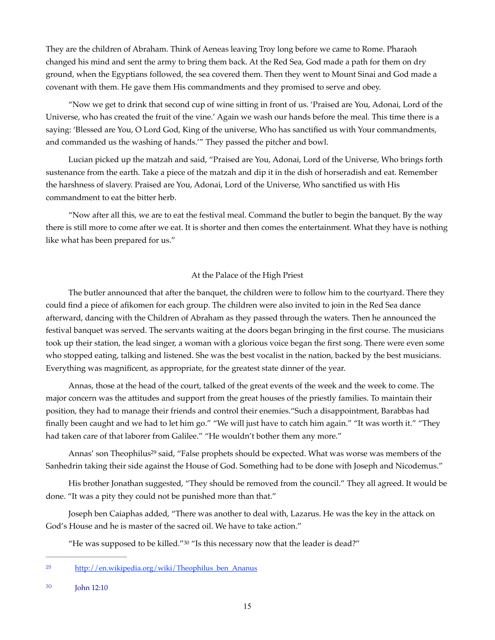They are the children of Abraham. Think of Aeneas leaving Troy long before we came to Rome. Pharaoh changed his mind and sent the army to bring them back. At the Red Sea, God made a path for them on dry ground, when the Egyptians followed, the sea covered them. Then they went to Mount Sinai and God made a covenant with them. He gave them His commandments and they promised to serve and obey.

"Now we get to drink that second cup of wine sitting in front of us. 'Praised are You, Adonai, Lord of the Universe, who has created the fruit of the vine.' Again we wash our hands before the meal. This time there is a saying: 'Blessed are You, O Lord God, King of the universe, Who has sanctified us with Your commandments, and commanded us the washing of hands.'" They passed the pitcher and bowl.

Lucian picked up the matzah and said, "Praised are You, Adonai, Lord of the Universe, Who brings forth sustenance from the earth. Take a piece of the matzah and dip it in the dish of horseradish and eat. Remember the harshness of slavery. Praised are You, Adonai, Lord of the Universe, Who sanctified us with His commandment to eat the bitter herb.

"Now after all this, we are to eat the festival meal. Command the butler to begin the banquet. By the way there is still more to come after we eat. It is shorter and then comes the entertainment. What they have is nothing like what has been prepared for us."

### At the Palace of the High Priest

The butler announced that after the banquet, the children were to follow him to the courtyard. There they could find a piece of afikomen for each group. The children were also invited to join in the Red Sea dance afterward, dancing with the Children of Abraham as they passed through the waters. Then he announced the festival banquet was served. The servants waiting at the doors began bringing in the first course. The musicians took up their station, the lead singer, a woman with a glorious voice began the first song. There were even some who stopped eating, talking and listened. She was the best vocalist in the nation, backed by the best musicians. Everything was magnificent, as appropriate, for the greatest state dinner of the year.

Annas, those at the head of the court, talked of the great events of the week and the week to come. The major concern was the attitudes and support from the great houses of the priestly families. To maintain their position, they had to manage their friends and control their enemies."Such a disappointment, Barabbas had finally been caught and we had to let him go." "We will just have to catch him again." "It was worth it." "They had taken care of that laborer from Galilee." "He wouldn't bother them any more."

<span id="page-14-2"></span>Annas' son Theophilus<sup>[29](#page-14-0)</sup> said, "False prophets should be expected. What was worse was members of the Sanhedrin taking their side against the House of God. Something had to be done with Joseph and Nicodemus."

His brother Jonathan suggested, "They should be removed from the council." They all agreed. It would be done. "It was a pity they could not be punished more than that."

Joseph ben Caiaphas added, "There was another to deal with, Lazarus. He was the key in the attack on God's House and he is master of the sacred oil. We have to take action."

<span id="page-14-3"></span>"He was supposed to be killed."[30](#page-14-1) "Is this necessary now that the leader is dead?"

<span id="page-14-0"></span><sup>&</sup>lt;sup>29</sup> [http://en.wikipedia.org/wiki/Theophilus\\_ben\\_Ananus](http://en.wikipedia.org/wiki/Theophilus_ben_Ananus)

<span id="page-14-1"></span>John 12:10 [30](#page-14-3)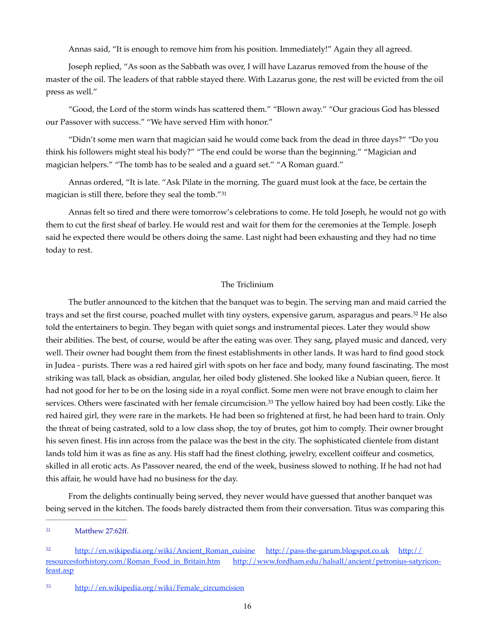Annas said, "It is enough to remove him from his position. Immediately!" Again they all agreed.

Joseph replied, "As soon as the Sabbath was over, I will have Lazarus removed from the house of the master of the oil. The leaders of that rabble stayed there. With Lazarus gone, the rest will be evicted from the oil press as well."

"Good, the Lord of the storm winds has scattered them." "Blown away." "Our gracious God has blessed our Passover with success." "We have served Him with honor."

"Didn't some men warn that magician said he would come back from the dead in three days?" "Do you think his followers might steal his body?" "The end could be worse than the beginning." "Magician and magician helpers." "The tomb has to be sealed and a guard set." "A Roman guard."

Annas ordered, "It is late. "Ask Pilate in the morning. The guard must look at the face, be certain the magician is still there, before they seal the tomb."[31](#page-15-0)

Annas felt so tired and there were tomorrow's celebrations to come. He told Joseph, he would not go with them to cut the first sheaf of barley. He would rest and wait for them for the ceremonies at the Temple. Joseph said he expected there would be others doing the same. Last night had been exhausting and they had no time today to rest.

## <span id="page-15-5"></span><span id="page-15-4"></span><span id="page-15-3"></span>The Triclinium

The butler announced to the kitchen that the banquet was to begin. The serving man and maid carried the traysand set the first course, poached mullet with tiny oysters, expensive garum, asparagus and pears.<sup>[32](#page-15-1)</sup> He also told the entertainers to begin. They began with quiet songs and instrumental pieces. Later they would show their abilities. The best, of course, would be after the eating was over. They sang, played music and danced, very well. Their owner had bought them from the finest establishments in other lands. It was hard to find good stock in Judea - purists. There was a red haired girl with spots on her face and body, many found fascinating. The most striking was tall, black as obsidian, angular, her oiled body glistened. She looked like a Nubian queen, fierce. It had not good for her to be on the losing side in a royal conflict. Some men were not brave enough to claim her services[.](#page-15-2) Others were fascinated with her female circumcision.<sup>[33](#page-15-2)</sup> The yellow haired boy had been costly. Like the red haired girl, they were rare in the markets. He had been so frightened at first, he had been hard to train. Only the threat of being castrated, sold to a low class shop, the toy of brutes, got him to comply. Their owner brought his seven finest. His inn across from the palace was the best in the city. The sophisticated clientele from distant lands told him it was as fine as any. His staff had the finest clothing, jewelry, excellent coiffeur and cosmetics, skilled in all erotic acts. As Passover neared, the end of the week, business slowed to nothing. If he had not had this affair, he would have had no business for the day.

From the delights continually being served, they never would have guessed that another banquet was being served in the kitchen. The foods barely distracted them from their conversation. Titus was comparing this

<span id="page-15-0"></span>Matthew 27:62ff. [31](#page-15-3)

<span id="page-15-1"></span>[<sup>32</sup>](#page-15-4) [http://en.wikipedia.org/wiki/Ancient\\_Roman\\_cuisine](http://en.wikipedia.org/wiki/Ancient_Roman_cuisine) <http://pass-the-garum.blogspot.co.uk>[http://](http://resourcesforhistory.com/Roman_Food_in_Britain.htm) [resourcesforhistory.com/Roman\\_Food\\_in\\_Britain.htm](http://resourcesforhistory.com/Roman_Food_in_Britain.htm) [http://www.fordham.edu/halsall/ancient/petronius-satyricon](http://www.fordham.edu/halsall/ancient/petronius-satyricon-feast.asp)[feast.asp](http://www.fordham.edu/halsall/ancient/petronius-satyricon-feast.asp)

<span id="page-15-2"></span><sup>33</sup> [http://en.wikipedia.org/wiki/Female\\_circumcision](http://en.wikipedia.org/wiki/Female_circumcision)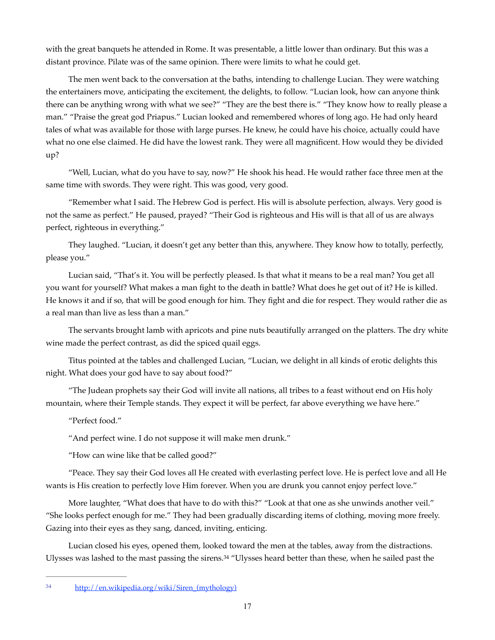with the great banquets he attended in Rome. It was presentable, a little lower than ordinary. But this was a distant province. Pilate was of the same opinion. There were limits to what he could get.

The men went back to the conversation at the baths, intending to challenge Lucian. They were watching the entertainers move, anticipating the excitement, the delights, to follow. "Lucian look, how can anyone think there can be anything wrong with what we see?" "They are the best there is." "They know how to really please a man." "Praise the great god Priapus." Lucian looked and remembered whores of long ago. He had only heard tales of what was available for those with large purses. He knew, he could have his choice, actually could have what no one else claimed. He did have the lowest rank. They were all magnificent. How would they be divided up?

"Well, Lucian, what do you have to say, now?" He shook his head. He would rather face three men at the same time with swords. They were right. This was good, very good.

"Remember what I said. The Hebrew God is perfect. His will is absolute perfection, always. Very good is not the same as perfect." He paused, prayed? "Their God is righteous and His will is that all of us are always perfect, righteous in everything."

They laughed. "Lucian, it doesn't get any better than this, anywhere. They know how to totally, perfectly, please you."

Lucian said, "That's it. You will be perfectly pleased. Is that what it means to be a real man? You get all you want for yourself? What makes a man fight to the death in battle? What does he get out of it? He is killed. He knows it and if so, that will be good enough for him. They fight and die for respect. They would rather die as a real man than live as less than a man."

The servants brought lamb with apricots and pine nuts beautifully arranged on the platters. The dry white wine made the perfect contrast, as did the spiced quail eggs.

Titus pointed at the tables and challenged Lucian, "Lucian, we delight in all kinds of erotic delights this night. What does your god have to say about food?"

"The Judean prophets say their God will invite all nations, all tribes to a feast without end on His holy mountain, where their Temple stands. They expect it will be perfect, far above everything we have here."

"Perfect food."

"And perfect wine. I do not suppose it will make men drunk."

"How can wine like that be called good?"

"Peace. They say their God loves all He created with everlasting perfect love. He is perfect love and all He wants is His creation to perfectly love Him forever. When you are drunk you cannot enjoy perfect love."

More laughter, "What does that have to do with this?" "Look at that one as she unwinds another veil." "She looks perfect enough for me." They had been gradually discarding items of clothing, moving more freely. Gazing into their eyes as they sang, danced, inviting, enticing.

<span id="page-16-1"></span>Lucian closed his eyes, opened them, looked toward the men at the tables, away from the distractions. Ulysses was lashed to the mast passing the sirens.<sup>[34](#page-16-0)</sup> "Ulysses heard better than these, when he sailed past the

<span id="page-16-0"></span>[http://en.wikipedia.org/wiki/Siren\\_\(mythology\)](http://en.wikipedia.org/wiki/Siren_(mythology)) [34](#page-16-1)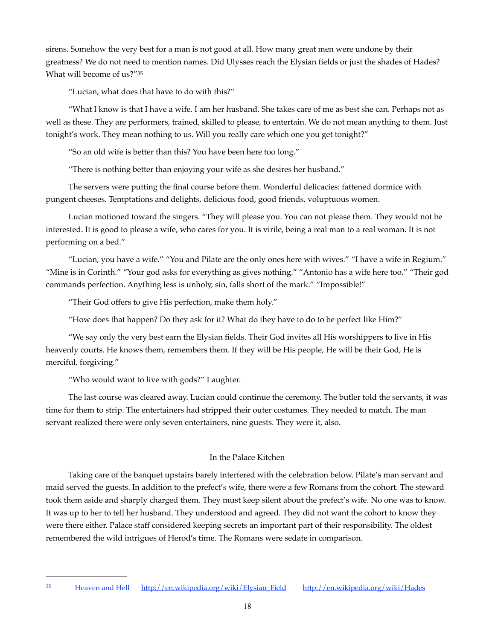sirens. Somehow the very best for a man is not good at all. How many great men were undone by their greatness? We do not need to mention names. Did Ulysses reach the Elysian fields or just the shades of Hades? What will become of us?["35](#page-17-0)

<span id="page-17-1"></span>"Lucian, what does that have to do with this?"

"What I know is that I have a wife. I am her husband. She takes care of me as best she can. Perhaps not as well as these. They are performers, trained, skilled to please, to entertain. We do not mean anything to them. Just tonight's work. They mean nothing to us. Will you really care which one you get tonight?"

"So an old wife is better than this? You have been here too long."

"There is nothing better than enjoying your wife as she desires her husband."

The servers were putting the final course before them. Wonderful delicacies: fattened dormice with pungent cheeses. Temptations and delights, delicious food, good friends, voluptuous women.

Lucian motioned toward the singers. "They will please you. You can not please them. They would not be interested. It is good to please a wife, who cares for you. It is virile, being a real man to a real woman. It is not performing on a bed."

"Lucian, you have a wife." "You and Pilate are the only ones here with wives." "I have a wife in Regium." "Mine is in Corinth." "Your god asks for everything as gives nothing." "Antonio has a wife here too." "Their god commands perfection. Anything less is unholy, sin, falls short of the mark." "Impossible!"

"Their God offers to give His perfection, make them holy."

"How does that happen? Do they ask for it? What do they have to do to be perfect like Him?"

"We say only the very best earn the Elysian fields. Their God invites all His worshippers to live in His heavenly courts. He knows them, remembers them. If they will be His people, He will be their God, He is merciful, forgiving."

"Who would want to live with gods?" Laughter.

The last course was cleared away. Lucian could continue the ceremony. The butler told the servants, it was time for them to strip. The entertainers had stripped their outer costumes. They needed to match. The man servant realized there were only seven entertainers, nine guests. They were it, also.

### In the Palace Kitchen

Taking care of the banquet upstairs barely interfered with the celebration below. Pilate's man servant and maid served the guests. In addition to the prefect's wife, there were a few Romans from the cohort. The steward took them aside and sharply charged them. They must keep silent about the prefect's wife. No one was to know. It was up to her to tell her husband. They understood and agreed. They did not want the cohort to know they were there either. Palace staff considered keeping secrets an important part of their responsibility. The oldest remembered the wild intrigues of Herod's time. The Romans were sedate in comparison.

<span id="page-17-0"></span><sup>&</sup>lt;sup>35</sup> Heaven and Hell [http://en.wikipedia.org/wiki/Elysian\\_Field](http://en.wikipedia.org/wiki/Elysian_Field) <http://en.wikipedia.org/wiki/Hades>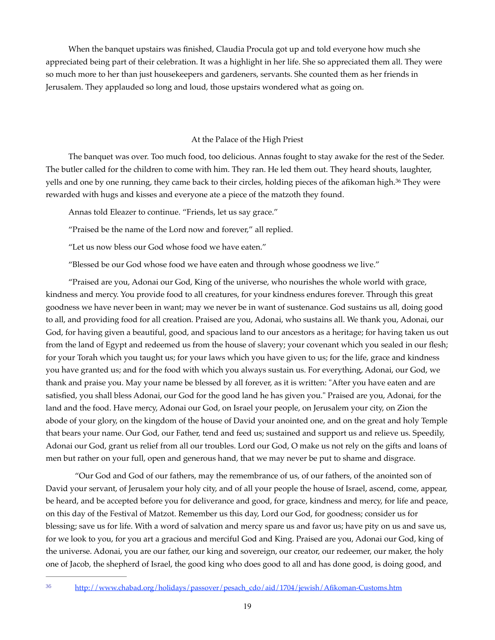When the banquet upstairs was finished, Claudia Procula got up and told everyone how much she appreciated being part of their celebration. It was a highlight in her life. She so appreciated them all. They were so much more to her than just housekeepers and gardeners, servants. She counted them as her friends in Jerusalem. They applauded so long and loud, those upstairs wondered what as going on.

#### <span id="page-18-1"></span>At the Palace of the High Priest

The banquet was over. Too much food, too delicious. Annas fought to stay awake for the rest of the Seder. The butler called for the children to come with him. They ran. He led them out. They heard shouts, laughter, yells and one by one running, they came back to their circles, holding pieces of the afikoman high[.](#page-18-0)<sup>[36](#page-18-0)</sup> They were rewarded with hugs and kisses and everyone ate a piece of the matzoth they found.

Annas told Eleazer to continue. "Friends, let us say grace."

"Praised be the name of the Lord now and forever," all replied.

"Let us now bless our God whose food we have eaten."

"Blessed be our God whose food we have eaten and through whose goodness we live."

"Praised are you, Adonai our God, King of the universe, who nourishes the whole world with grace, kindness and mercy. You provide food to all creatures, for your kindness endures forever. Through this great goodness we have never been in want; may we never be in want of sustenance. God sustains us all, doing good to all, and providing food for all creation. Praised are you, Adonai, who sustains all. We thank you, Adonai, our God, for having given a beautiful, good, and spacious land to our ancestors as a heritage; for having taken us out from the land of Egypt and redeemed us from the house of slavery; your covenant which you sealed in our flesh; for your Torah which you taught us; for your laws which you have given to us; for the life, grace and kindness you have granted us; and for the food with which you always sustain us. For everything, Adonai, our God, we thank and praise you. May your name be blessed by all forever, as it is written: "After you have eaten and are satisfied, you shall bless Adonai, our God for the good land he has given you." Praised are you, Adonai, for the land and the food. Have mercy, Adonai our God, on Israel your people, on Jerusalem your city, on Zion the abode of your glory, on the kingdom of the house of David your anointed one, and on the great and holy Temple that bears your name. Our God, our Father, tend and feed us; sustained and support us and relieve us. Speedily, Adonai our God, grant us relief from all our troubles. Lord our God, O make us not rely on the gifts and loans of men but rather on your full, open and generous hand, that we may never be put to shame and disgrace.

"Our God and God of our fathers, may the remembrance of us, of our fathers, of the anointed son of David your servant, of Jerusalem your holy city, and of all your people the house of Israel, ascend, come, appear, be heard, and be accepted before you for deliverance and good, for grace, kindness and mercy, for life and peace, on this day of the Festival of Matzot. Remember us this day, Lord our God, for goodness; consider us for blessing; save us for life. With a word of salvation and mercy spare us and favor us; have pity on us and save us, for we look to you, for you art a gracious and merciful God and King. Praised are you, Adonai our God, king of the universe. Adonai, you are our father, our king and sovereign, our creator, our redeemer, our maker, the holy one of Jacob, the shepherd of Israel, the good king who does good to all and has done good, is doing good, and

<span id="page-18-0"></span>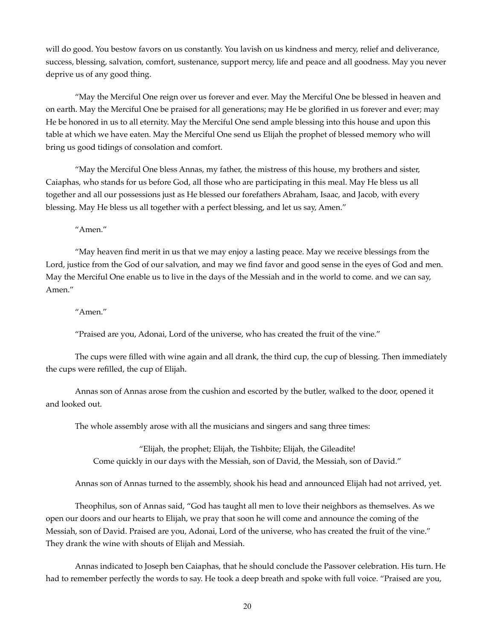will do good. You bestow favors on us constantly. You lavish on us kindness and mercy, relief and deliverance, success, blessing, salvation, comfort, sustenance, support mercy, life and peace and all goodness. May you never deprive us of any good thing.

"May the Merciful One reign over us forever and ever. May the Merciful One be blessed in heaven and on earth. May the Merciful One be praised for all generations; may He be glorified in us forever and ever; may He be honored in us to all eternity. May the Merciful One send ample blessing into this house and upon this table at which we have eaten. May the Merciful One send us Elijah the prophet of blessed memory who will bring us good tidings of consolation and comfort.

"May the Merciful One bless Annas, my father, the mistress of this house, my brothers and sister, Caiaphas, who stands for us before God, all those who are participating in this meal. May He bless us all together and all our possessions just as He blessed our forefathers Abraham, Isaac, and Jacob, with every blessing. May He bless us all together with a perfect blessing, and let us say, Amen."

"Amen."

"May heaven find merit in us that we may enjoy a lasting peace. May we receive blessings from the Lord, justice from the God of our salvation, and may we find favor and good sense in the eyes of God and men. May the Merciful One enable us to live in the days of the Messiah and in the world to come. and we can say, Amen."

"Amen."

"Praised are you, Adonai, Lord of the universe, who has created the fruit of the vine."

The cups were filled with wine again and all drank, the third cup, the cup of blessing. Then immediately the cups were refilled, the cup of Elijah.

Annas son of Annas arose from the cushion and escorted by the butler, walked to the door, opened it and looked out.

The whole assembly arose with all the musicians and singers and sang three times:

"Elijah, the prophet; Elijah, the Tishbite; Elijah, the Gileadite! Come quickly in our days with the Messiah, son of David, the Messiah, son of David."

Annas son of Annas turned to the assembly, shook his head and announced Elijah had not arrived, yet.

Theophilus, son of Annas said, "God has taught all men to love their neighbors as themselves. As we open our doors and our hearts to Elijah, we pray that soon he will come and announce the coming of the Messiah, son of David. Praised are you, Adonai, Lord of the universe, who has created the fruit of the vine." They drank the wine with shouts of Elijah and Messiah.

Annas indicated to Joseph ben Caiaphas, that he should conclude the Passover celebration. His turn. He had to remember perfectly the words to say. He took a deep breath and spoke with full voice. "Praised are you,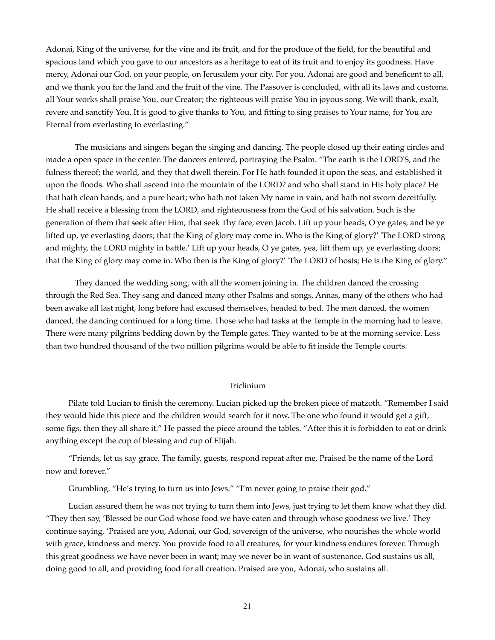Adonai, King of the universe, for the vine and its fruit, and for the produce of the field, for the beautiful and spacious land which you gave to our ancestors as a heritage to eat of its fruit and to enjoy its goodness. Have mercy, Adonai our God, on your people, on Jerusalem your city. For you, Adonai are good and beneficent to all, and we thank you for the land and the fruit of the vine. The Passover is concluded, with all its laws and customs. all Your works shall praise You, our Creator; the righteous will praise You in joyous song. We will thank, exalt, revere and sanctify You. It is good to give thanks to You, and fitting to sing praises to Your name, for You are Eternal from everlasting to everlasting."

The musicians and singers began the singing and dancing. The people closed up their eating circles and made a open space in the center. The dancers entered, portraying the Psalm. "The earth is the LORD'S, and the fulness thereof; the world, and they that dwell therein. For He hath founded it upon the seas, and established it upon the floods. Who shall ascend into the mountain of the LORD? and who shall stand in His holy place? He that hath clean hands, and a pure heart; who hath not taken My name in vain, and hath not sworn deceitfully. He shall receive a blessing from the LORD, and righteousness from the God of his salvation. Such is the generation of them that seek after Him, that seek Thy face, even Jacob. Lift up your heads, O ye gates, and be ye lifted up, ye everlasting doors; that the King of glory may come in. Who is the King of glory?' 'The LORD strong and mighty, the LORD mighty in battle.' Lift up your heads, O ye gates, yea, lift them up, ye everlasting doors; that the King of glory may come in. Who then is the King of glory?' 'The LORD of hosts; He is the King of glory."

They danced the wedding song, with all the women joining in. The children danced the crossing through the Red Sea. They sang and danced many other Psalms and songs. Annas, many of the others who had been awake all last night, long before had excused themselves, headed to bed. The men danced, the women danced, the dancing continued for a long time. Those who had tasks at the Temple in the morning had to leave. There were many pilgrims bedding down by the Temple gates. They wanted to be at the morning service. Less than two hundred thousand of the two million pilgrims would be able to fit inside the Temple courts.

#### Triclinium

Pilate told Lucian to finish the ceremony. Lucian picked up the broken piece of matzoth. "Remember I said they would hide this piece and the children would search for it now. The one who found it would get a gift, some figs, then they all share it." He passed the piece around the tables. "After this it is forbidden to eat or drink anything except the cup of blessing and cup of Elijah.

"Friends, let us say grace. The family, guests, respond repeat after me, Praised be the name of the Lord now and forever."

Grumbling. "He's trying to turn us into Jews." "I'm never going to praise their god."

Lucian assured them he was not trying to turn them into Jews, just trying to let them know what they did. "They then say, 'Blessed be our God whose food we have eaten and through whose goodness we live.' They continue saying, 'Praised are you, Adonai, our God, sovereign of the universe, who nourishes the whole world with grace, kindness and mercy. You provide food to all creatures, for your kindness endures forever. Through this great goodness we have never been in want; may we never be in want of sustenance. God sustains us all, doing good to all, and providing food for all creation. Praised are you, Adonai, who sustains all.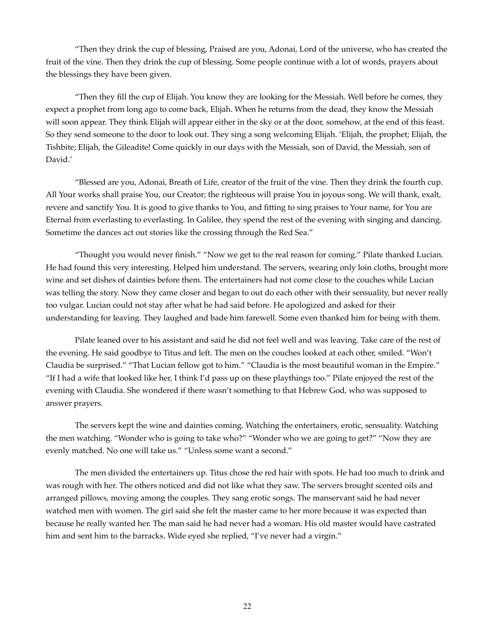"Then they drink the cup of blessing, Praised are you, Adonai, Lord of the universe, who has created the fruit of the vine. Then they drink the cup of blessing. Some people continue with a lot of words, prayers about the blessings they have been given.

"Then they fill the cup of Elijah. You know they are looking for the Messiah. Well before he comes, they expect a prophet from long ago to come back, Elijah. When he returns from the dead, they know the Messiah will soon appear. They think Elijah will appear either in the sky or at the door, somehow, at the end of this feast. So they send someone to the door to look out. They sing a song welcoming Elijah. 'Elijah, the prophet; Elijah, the Tishbite; Elijah, the Gileadite! Come quickly in our days with the Messiah, son of David, the Messiah, son of David.'

"Blessed are you, Adonai, Breath of Life, creator of the fruit of the vine. Then they drink the fourth cup. All Your works shall praise You, our Creator; the righteous will praise You in joyous song. We will thank, exalt, revere and sanctify You. It is good to give thanks to You, and fitting to sing praises to Your name, for You are Eternal from everlasting to everlasting. In Galilee, they spend the rest of the evening with singing and dancing. Sometime the dances act out stories like the crossing through the Red Sea."

"Thought you would never finish." "Now we get to the real reason for coming." Pilate thanked Lucian. He had found this very interesting. Helped him understand. The servers, wearing only loin cloths, brought more wine and set dishes of dainties before them. The entertainers had not come close to the couches while Lucian was telling the story. Now they came closer and began to out do each other with their sensuality, but never really too vulgar. Lucian could not stay after what he had said before. He apologized and asked for their understanding for leaving. They laughed and bade him farewell. Some even thanked him for being with them.

Pilate leaned over to his assistant and said he did not feel well and was leaving. Take care of the rest of the evening. He said goodbye to Titus and left. The men on the couches looked at each other, smiled. "Won't Claudia be surprised." "That Lucian fellow got to him." "Claudia is the most beautiful woman in the Empire." "If I had a wife that looked like her, I think I'd pass up on these playthings too." Pilate enjoyed the rest of the evening with Claudia. She wondered if there wasn't something to that Hebrew God, who was supposed to answer prayers.

The servers kept the wine and dainties coming. Watching the entertainers, erotic, sensuality. Watching the men watching. "Wonder who is going to take who?" "Wonder who we are going to get?" "Now they are evenly matched. No one will take us." "Unless some want a second."

The men divided the entertainers up. Titus chose the red hair with spots. He had too much to drink and was rough with her. The others noticed and did not like what they saw. The servers brought scented oils and arranged pillows, moving among the couples. They sang erotic songs. The manservant said he had never watched men with women. The girl said she felt the master came to her more because it was expected than because he really wanted her. The man said he had never had a woman. His old master would have castrated him and sent him to the barracks. Wide eyed she replied, "I've never had a virgin."